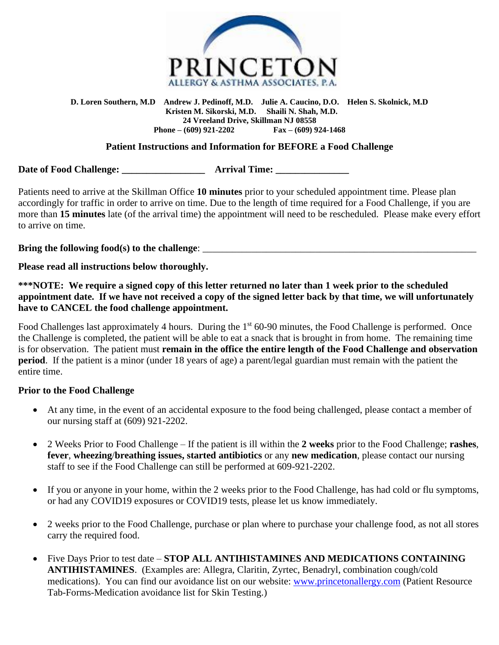

#### **D. Loren Southern, M.D Andrew J. Pedinoff, M.D. Julie A. Caucino, D.O. Helen S. Skolnick, M.D Kristen M. Sikorski, M.D. Shaili N. Shah, M.D. 24 Vreeland Drive, Skillman NJ 08558 Phone – (609) 921-2202 Fax – (609) 924-1468**

### **Patient Instructions and Information for BEFORE a Food Challenge**

**Date of Food Challenge: The Second Arrival Time:**  $\Delta$ 

Patients need to arrive at the Skillman Office **10 minutes** prior to your scheduled appointment time. Please plan accordingly for traffic in order to arrive on time. Due to the length of time required for a Food Challenge, if you are more than **15 minutes** late (of the arrival time) the appointment will need to be rescheduled. Please make every effort to arrive on time.

**Bring the following food(s) to the challenge**: \_\_\_\_\_\_\_\_\_\_\_\_\_\_\_\_\_\_\_\_\_\_\_\_\_\_\_\_\_\_\_\_\_\_\_\_\_\_\_\_\_\_\_\_\_\_\_\_\_\_\_\_\_\_\_\_

**Please read all instructions below thoroughly.** 

**\*\*\*NOTE: We require a signed copy of this letter returned no later than 1 week prior to the scheduled appointment date. If we have not received a copy of the signed letter back by that time, we will unfortunately have to CANCEL the food challenge appointment.**

Food Challenges last approximately 4 hours. During the 1<sup>st</sup> 60-90 minutes, the Food Challenge is performed. Once the Challenge is completed, the patient will be able to eat a snack that is brought in from home. The remaining time is for observation. The patient must **remain in the office the entire length of the Food Challenge and observation period**. If the patient is a minor (under 18 years of age) a parent/legal guardian must remain with the patient the entire time.

### **Prior to the Food Challenge**

- At any time, in the event of an accidental exposure to the food being challenged, please contact a member of our nursing staff at (609) 921-2202.
- 2 Weeks Prior to Food Challenge If the patient is ill within the **2 weeks** prior to the Food Challenge; **rashes**, **fever**, **wheezing**/**breathing issues, started antibiotics** or any **new medication**, please contact our nursing staff to see if the Food Challenge can still be performed at 609-921-2202.
- If you or anyone in your home, within the 2 weeks prior to the Food Challenge, has had cold or flu symptoms, or had any COVID19 exposures or COVID19 tests, please let us know immediately.
- 2 weeks prior to the Food Challenge, purchase or plan where to purchase your challenge food, as not all stores carry the required food.
- Five Days Prior to test date **STOP ALL ANTIHISTAMINES AND MEDICATIONS CONTAINING ANTIHISTAMINES**. (Examples are: Allegra, Claritin, Zyrtec, Benadryl, combination cough/cold medications). You can find our avoidance list on our website: [www.princetonallergy.com](http://www.princetonallergy.com/) (Patient Resource Tab-Forms-Medication avoidance list for Skin Testing.)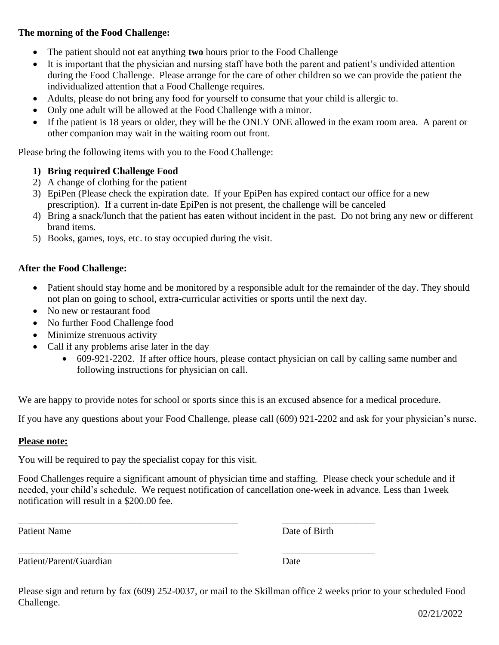### **The morning of the Food Challenge:**

- The patient should not eat anything **two** hours prior to the Food Challenge
- It is important that the physician and nursing staff have both the parent and patient's undivided attention during the Food Challenge. Please arrange for the care of other children so we can provide the patient the individualized attention that a Food Challenge requires.
- Adults, please do not bring any food for yourself to consume that your child is allergic to.
- Only one adult will be allowed at the Food Challenge with a minor.
- If the patient is 18 years or older, they will be the ONLY ONE allowed in the exam room area. A parent or other companion may wait in the waiting room out front.

Please bring the following items with you to the Food Challenge:

# **1) Bring required Challenge Food**

- 2) A change of clothing for the patient
- 3) EpiPen (Please check the expiration date. If your EpiPen has expired contact our office for a new prescription). If a current in-date EpiPen is not present, the challenge will be canceled
- 4) Bring a snack/lunch that the patient has eaten without incident in the past. Do not bring any new or different brand items.
- 5) Books, games, toys, etc. to stay occupied during the visit.

# **After the Food Challenge:**

- Patient should stay home and be monitored by a responsible adult for the remainder of the day. They should not plan on going to school, extra-curricular activities or sports until the next day.
- No new or restaurant food
- No further Food Challenge food
- Minimize strenuous activity
- Call if any problems arise later in the day
	- 609-921-2202. If after office hours, please contact physician on call by calling same number and following instructions for physician on call.

We are happy to provide notes for school or sports since this is an excused absence for a medical procedure.

If you have any questions about your Food Challenge, please call (609) 921-2202 and ask for your physician's nurse.

## **Please note:**

You will be required to pay the specialist copay for this visit.

Food Challenges require a significant amount of physician time and staffing. Please check your schedule and if needed, your child's schedule. We request notification of cancellation one-week in advance. Less than 1week notification will result in a \$200.00 fee.

\_\_\_\_\_\_\_\_\_\_\_\_\_\_\_\_\_\_\_\_\_\_\_\_\_\_\_\_\_\_\_\_\_\_\_\_\_\_\_\_\_\_\_\_\_ \_\_\_\_\_\_\_\_\_\_\_\_\_\_\_\_\_\_\_

Patient Name **Date of Birth** 

\_\_\_\_\_\_\_\_\_\_\_\_\_\_\_\_\_\_\_\_\_\_\_\_\_\_\_\_\_\_\_\_\_\_\_\_\_\_\_\_\_\_\_\_\_ \_\_\_\_\_\_\_\_\_\_\_\_\_\_\_\_\_\_\_

Patient/Parent/Guardian Date

Please sign and return by fax (609) 252-0037, or mail to the Skillman office 2 weeks prior to your scheduled Food Challenge.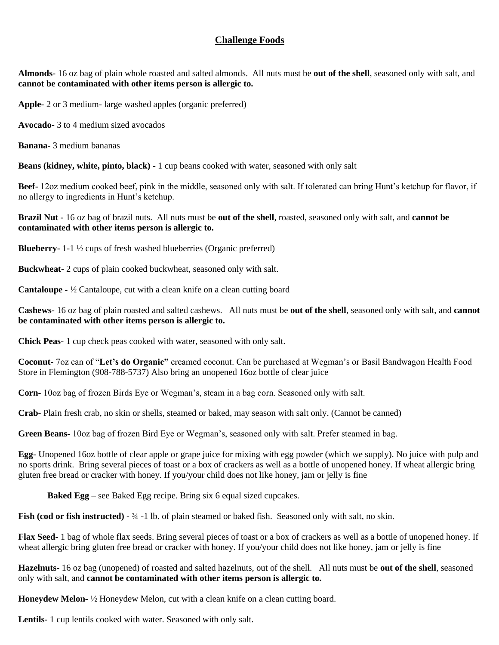## **Challenge Foods**

**Almonds-** 16 oz bag of plain whole roasted and salted almonds. All nuts must be **out of the shell**, seasoned only with salt, and **cannot be contaminated with other items person is allergic to.**

**Apple-** 2 or 3 medium- large washed apples (organic preferred)

**Avocado-** 3 to 4 medium sized avocados

**Banana-** 3 medium bananas

**Beans (kidney, white, pinto, black) -** 1 cup beans cooked with water, seasoned with only salt

**Beef-** 12oz medium cooked beef, pink in the middle, seasoned only with salt. If tolerated can bring Hunt's ketchup for flavor, if no allergy to ingredients in Hunt's ketchup.

**Brazil Nut -** 16 oz bag of brazil nuts. All nuts must be **out of the shell**, roasted, seasoned only with salt, and **cannot be contaminated with other items person is allergic to.**

**Blueberry-** 1-1 ½ cups of fresh washed blueberries (Organic preferred)

**Buckwheat-** 2 cups of plain cooked buckwheat, seasoned only with salt.

**Cantaloupe -** ½ Cantaloupe, cut with a clean knife on a clean cutting board

**Cashews-** 16 oz bag of plain roasted and salted cashews. All nuts must be **out of the shell**, seasoned only with salt, and **cannot be contaminated with other items person is allergic to.**

**Chick Peas-** 1 cup check peas cooked with water, seasoned with only salt.

**Coconut-** 7oz can of "**Let's do Organic"** creamed coconut. Can be purchased at Wegman's or Basil Bandwagon Health Food Store in Flemington (908-788-5737) Also bring an unopened 16oz bottle of clear juice

**Corn-** 10oz bag of frozen Birds Eye or Wegman's, steam in a bag corn. Seasoned only with salt.

**Crab-** Plain fresh crab, no skin or shells, steamed or baked, may season with salt only. (Cannot be canned)

**Green Beans-** 10oz bag of frozen Bird Eye or Wegman's, seasoned only with salt. Prefer steamed in bag.

**Egg-** Unopened 16oz bottle of clear apple or grape juice for mixing with egg powder (which we supply). No juice with pulp and no sports drink. Bring several pieces of toast or a box of crackers as well as a bottle of unopened honey. If wheat allergic bring gluten free bread or cracker with honey. If you/your child does not like honey, jam or jelly is fine

**Baked Egg** – see Baked Egg recipe. Bring six 6 equal sized cupcakes.

**Fish (cod or fish instructed) -** 34 -1 lb. of plain steamed or baked fish. Seasoned only with salt, no skin.

**Flax Seed-** 1 bag of whole flax seeds. Bring several pieces of toast or a box of crackers as well as a bottle of unopened honey. If wheat allergic bring gluten free bread or cracker with honey. If you/your child does not like honey, jam or jelly is fine

**Hazelnuts-** 16 oz bag (unopened) of roasted and salted hazelnuts, out of the shell. All nuts must be **out of the shell**, seasoned only with salt, and **cannot be contaminated with other items person is allergic to.**

**Honeydew Melon-** ½ Honeydew Melon, cut with a clean knife on a clean cutting board.

**Lentils-** 1 cup lentils cooked with water. Seasoned with only salt.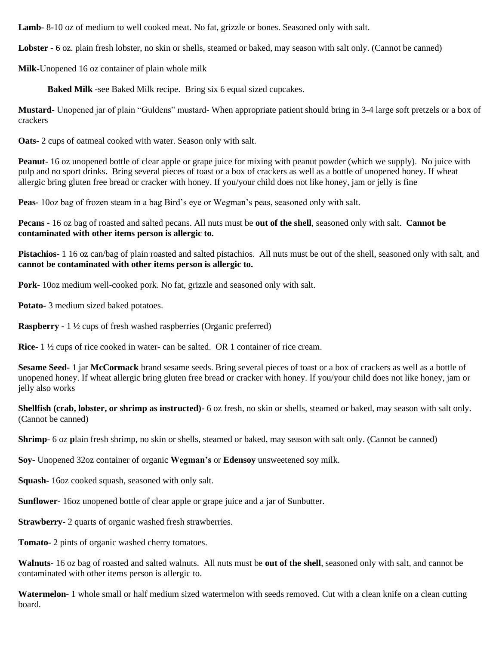**Lamb-** 8-10 oz of medium to well cooked meat. No fat, grizzle or bones. Seasoned only with salt.

**Lobster -** 6 oz. plain fresh lobster, no skin or shells, steamed or baked, may season with salt only. (Cannot be canned)

**Milk-**Unopened 16 oz container of plain whole milk

**Baked Milk -**see Baked Milk recipe. Bring six 6 equal sized cupcakes.

**Mustard-** Unopened jar of plain "Guldens" mustard- When appropriate patient should bring in 3-4 large soft pretzels or a box of crackers

**Oats-** 2 cups of oatmeal cooked with water. Season only with salt.

**Peanut-** 16 oz unopened bottle of clear apple or grape juice for mixing with peanut powder (which we supply). No juice with pulp and no sport drinks. Bring several pieces of toast or a box of crackers as well as a bottle of unopened honey. If wheat allergic bring gluten free bread or cracker with honey. If you/your child does not like honey, jam or jelly is fine

**Peas-** 10oz bag of frozen steam in a bag Bird's eye or Wegman's peas, seasoned only with salt.

**Pecans -** 16 oz bag of roasted and salted pecans. All nuts must be **out of the shell**, seasoned only with salt. **Cannot be contaminated with other items person is allergic to.** 

**Pistachios-** 1 16 oz can/bag of plain roasted and salted pistachios. All nuts must be out of the shell, seasoned only with salt, and **cannot be contaminated with other items person is allergic to.**

**Pork-** 10oz medium well-cooked pork. No fat, grizzle and seasoned only with salt.

**Potato-** 3 medium sized baked potatoes.

**Raspberry -** 1 ½ cups of fresh washed raspberries (Organic preferred)

**Rice-** 1 ½ cups of rice cooked in water- can be salted. OR 1 container of rice cream.

**Sesame Seed-** 1 jar **McCormack** brand sesame seeds. Bring several pieces of toast or a box of crackers as well as a bottle of unopened honey. If wheat allergic bring gluten free bread or cracker with honey. If you/your child does not like honey, jam or jelly also works

**Shellfish (crab, lobster, or shrimp as instructed)-** 6 oz fresh, no skin or shells, steamed or baked, may season with salt only. (Cannot be canned)

**Shrimp**- 6 oz **p**lain fresh shrimp, no skin or shells, steamed or baked, may season with salt only. (Cannot be canned)

**Soy-** Unopened 32oz container of organic **Wegman's** or **Edensoy** unsweetened soy milk.

**Squash-** 16oz cooked squash, seasoned with only salt.

**Sunflower-** 16oz unopened bottle of clear apple or grape juice and a jar of Sunbutter.

**Strawberry-** 2 quarts of organic washed fresh strawberries.

**Tomato-** 2 pints of organic washed cherry tomatoes.

**Walnuts-** 16 oz bag of roasted and salted walnuts. All nuts must be **out of the shell**, seasoned only with salt, and cannot be contaminated with other items person is allergic to.

**Watermelon-** 1 whole small or half medium sized watermelon with seeds removed. Cut with a clean knife on a clean cutting board.